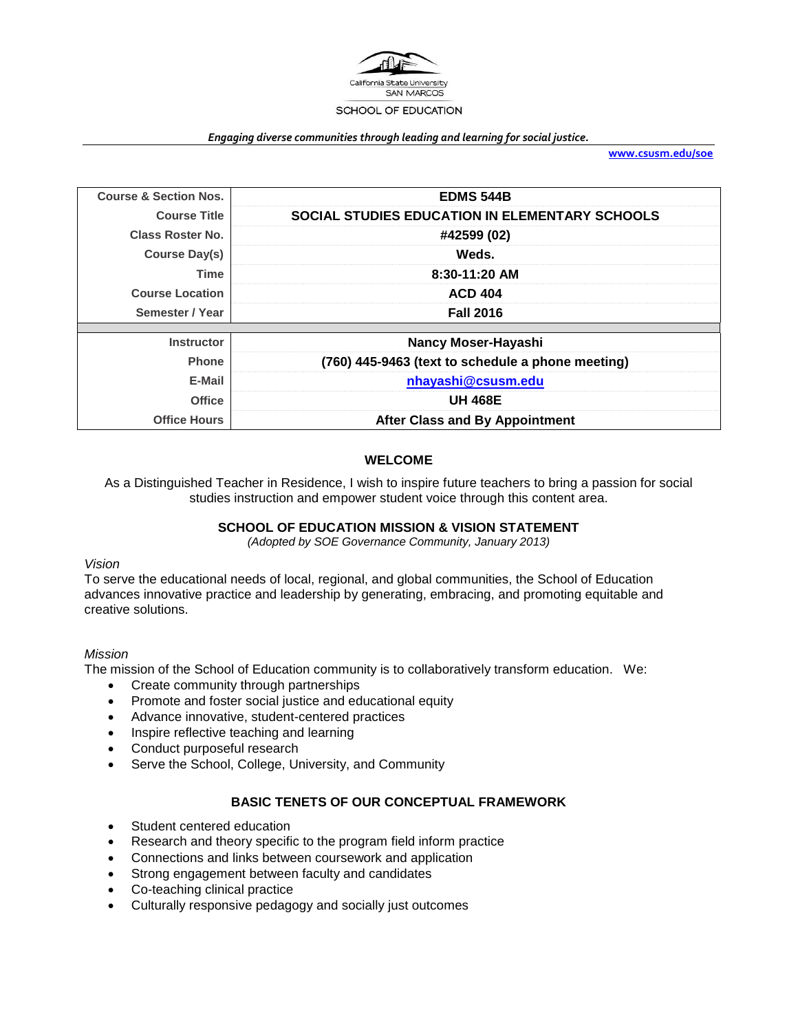

#### *Engaging diverse communities through leading and learning for social justice.*

**[www.csusm.edu/soe](http://www.csusm.edu/soe)**

| <b>Course &amp; Section Nos.</b> | <b>EDMS 544B</b>                                  |  |  |
|----------------------------------|---------------------------------------------------|--|--|
| <b>Course Title</b>              | SOCIAL STUDIES EDUCATION IN ELEMENTARY SCHOOLS    |  |  |
| Class Roster No.                 | #42599 (02)                                       |  |  |
| Course Day(s)                    | Weds.                                             |  |  |
| Time                             | 8:30-11:20 AM                                     |  |  |
| <b>Course Location</b>           | <b>ACD 404</b>                                    |  |  |
| Semester / Year                  | <b>Fall 2016</b>                                  |  |  |
|                                  |                                                   |  |  |
| <b>Instructor</b>                | Nancy Moser-Hayashi                               |  |  |
| <b>Phone</b>                     | (760) 445-9463 (text to schedule a phone meeting) |  |  |
| E-Mail                           | nhayashi@csusm.edu                                |  |  |
| <b>Office</b>                    | <b>UH 468E</b>                                    |  |  |
| <b>Office Hours</b>              | <b>After Class and By Appointment</b>             |  |  |

#### **WELCOME**

As a Distinguished Teacher in Residence, I wish to inspire future teachers to bring a passion for social studies instruction and empower student voice through this content area.

#### **SCHOOL OF EDUCATION MISSION & VISION STATEMENT**

*(Adopted by SOE Governance Community, January 2013)*

#### *Vision*

To serve the educational needs of local, regional, and global communities, the School of Education advances innovative practice and leadership by generating, embracing, and promoting equitable and creative solutions.

#### *Mission*

The mission of the School of Education community is to collaboratively transform education. We:

- Create community through partnerships
- Promote and foster social justice and educational equity
- Advance innovative, student-centered practices
- Inspire reflective teaching and learning
- Conduct purposeful research
- Serve the School, College, University, and Community

#### **BASIC TENETS OF OUR CONCEPTUAL FRAMEWORK**

- Student centered education
- Research and theory specific to the program field inform practice
- Connections and links between coursework and application
- Strong engagement between faculty and candidates
- Co-teaching clinical practice
- Culturally responsive pedagogy and socially just outcomes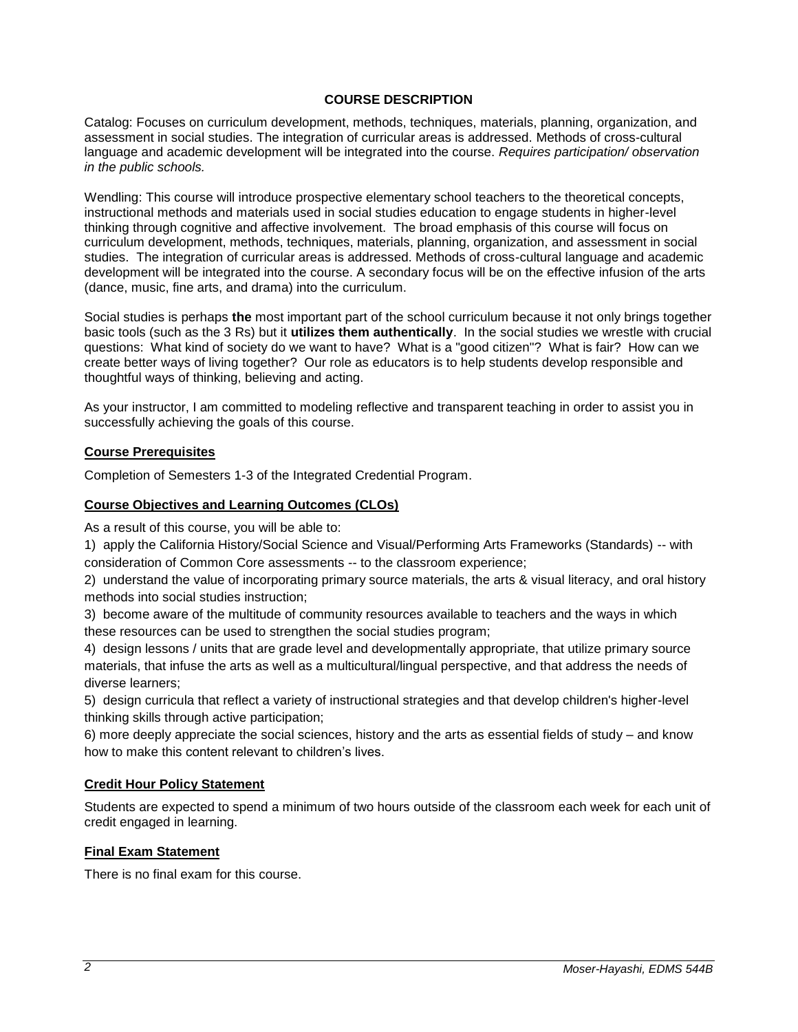## **COURSE DESCRIPTION**

Catalog: Focuses on curriculum development, methods, techniques, materials, planning, organization, and assessment in social studies. The integration of curricular areas is addressed. Methods of cross-cultural language and academic development will be integrated into the course. *Requires participation/ observation in the public schools.*

Wendling: This course will introduce prospective elementary school teachers to the theoretical concepts, instructional methods and materials used in social studies education to engage students in higher-level thinking through cognitive and affective involvement. The broad emphasis of this course will focus on curriculum development, methods, techniques, materials, planning, organization, and assessment in social studies. The integration of curricular areas is addressed. Methods of cross-cultural language and academic development will be integrated into the course. A secondary focus will be on the effective infusion of the arts (dance, music, fine arts, and drama) into the curriculum.

Social studies is perhaps **the** most important part of the school curriculum because it not only brings together basic tools (such as the 3 Rs) but it **utilizes them authentically**. In the social studies we wrestle with crucial questions: What kind of society do we want to have? What is a "good citizen"? What is fair? How can we create better ways of living together? Our role as educators is to help students develop responsible and thoughtful ways of thinking, believing and acting.

As your instructor, I am committed to modeling reflective and transparent teaching in order to assist you in successfully achieving the goals of this course.

#### **Course Prerequisites**

Completion of Semesters 1-3 of the Integrated Credential Program.

#### **Course Objectives and Learning Outcomes (CLOs)**

As a result of this course, you will be able to:

1) apply the California History/Social Science and Visual/Performing Arts Frameworks (Standards) -- with consideration of Common Core assessments -- to the classroom experience;

2) understand the value of incorporating primary source materials, the arts & visual literacy, and oral history methods into social studies instruction;

3) become aware of the multitude of community resources available to teachers and the ways in which these resources can be used to strengthen the social studies program;

4) design lessons / units that are grade level and developmentally appropriate, that utilize primary source materials, that infuse the arts as well as a multicultural/lingual perspective, and that address the needs of diverse learners;

5) design curricula that reflect a variety of instructional strategies and that develop children's higher-level thinking skills through active participation;

6) more deeply appreciate the social sciences, history and the arts as essential fields of study – and know how to make this content relevant to children's lives.

## **Credit Hour Policy Statement**

Students are expected to spend a minimum of two hours outside of the classroom each week for each unit of credit engaged in learning.

#### **Final Exam Statement**

There is no final exam for this course.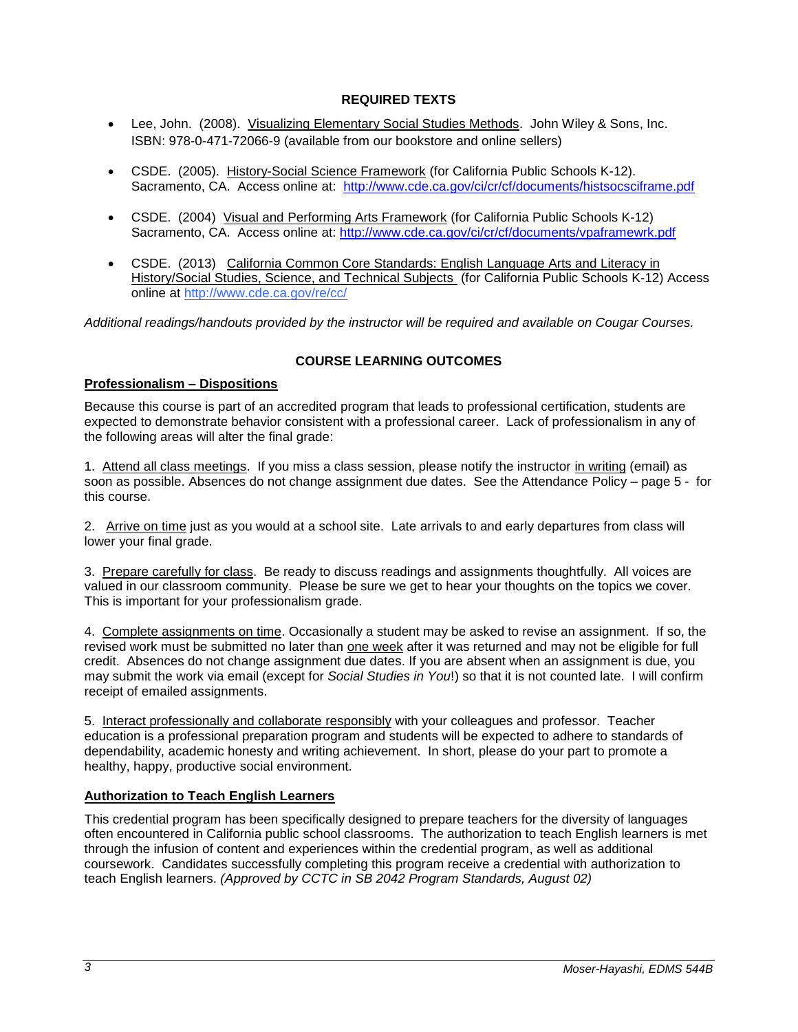## **REQUIRED TEXTS**

- Lee, John. (2008). Visualizing Elementary Social Studies Methods. John Wiley & Sons, Inc. ISBN: 978-0-471-72066-9 (available from our bookstore and online sellers)
- CSDE. (2005). History-Social Science Framework (for California Public Schools K-12). Sacramento, CA. Access online at: <http://www.cde.ca.gov/ci/cr/cf/documents/histsocsciframe.pdf>
- CSDE. (2004) Visual and Performing Arts Framework (for California Public Schools K-12) Sacramento, CA. Access online at:<http://www.cde.ca.gov/ci/cr/cf/documents/vpaframewrk.pdf>
- CSDE. (2013) California Common Core Standards: English Language Arts and Literacy in History/Social Studies, Science, and Technical Subjects (for California Public Schools K-12) Access online at<http://www.cde.ca.gov/re/cc/>

*Additional readings/handouts provided by the instructor will be required and available on Cougar Courses.*

## **COURSE LEARNING OUTCOMES**

## **Professionalism – Dispositions**

Because this course is part of an accredited program that leads to professional certification, students are expected to demonstrate behavior consistent with a professional career. Lack of professionalism in any of the following areas will alter the final grade:

1. Attend all class meetings. If you miss a class session, please notify the instructor in writing (email) as soon as possible. Absences do not change assignment due dates. See the Attendance Policy – page 5 - for this course.

2. Arrive on time just as you would at a school site. Late arrivals to and early departures from class will lower your final grade.

3. Prepare carefully for class. Be ready to discuss readings and assignments thoughtfully. All voices are valued in our classroom community. Please be sure we get to hear your thoughts on the topics we cover. This is important for your professionalism grade.

4. Complete assignments on time. Occasionally a student may be asked to revise an assignment. If so, the revised work must be submitted no later than one week after it was returned and may not be eligible for full credit. Absences do not change assignment due dates. If you are absent when an assignment is due, you may submit the work via email (except for *Social Studies in You*!) so that it is not counted late. I will confirm receipt of emailed assignments.

5. Interact professionally and collaborate responsibly with your colleagues and professor. Teacher education is a professional preparation program and students will be expected to adhere to standards of dependability, academic honesty and writing achievement. In short, please do your part to promote a healthy, happy, productive social environment.

#### **Authorization to Teach English Learners**

This credential program has been specifically designed to prepare teachers for the diversity of languages often encountered in California public school classrooms. The authorization to teach English learners is met through the infusion of content and experiences within the credential program, as well as additional coursework. Candidates successfully completing this program receive a credential with authorization to teach English learners. *(Approved by CCTC in SB 2042 Program Standards, August 02)*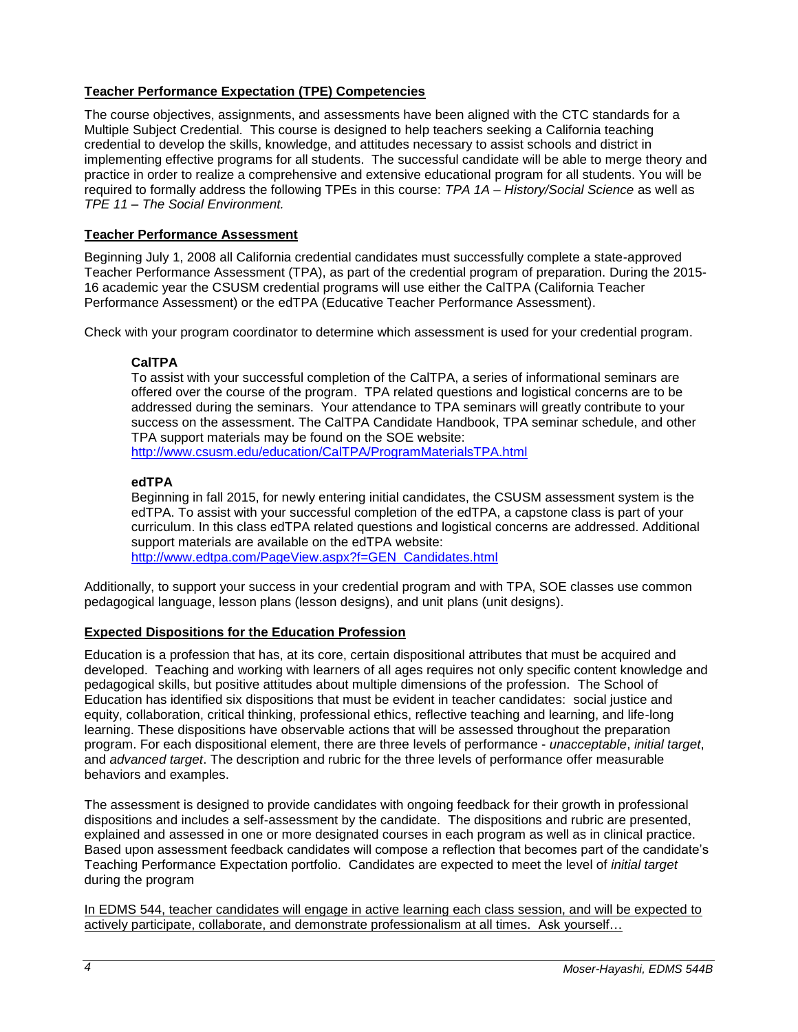## **Teacher Performance Expectation (TPE) Competencies**

The course objectives, assignments, and assessments have been aligned with the CTC standards for a Multiple Subject Credential. This course is designed to help teachers seeking a California teaching credential to develop the skills, knowledge, and attitudes necessary to assist schools and district in implementing effective programs for all students. The successful candidate will be able to merge theory and practice in order to realize a comprehensive and extensive educational program for all students. You will be required to formally address the following TPEs in this course: *TPA 1A – History/Social Science* as well as *TPE 11 – The Social Environment.*

### **Teacher Performance Assessment**

Beginning July 1, 2008 all California credential candidates must successfully complete a state-approved Teacher Performance Assessment (TPA), as part of the credential program of preparation. During the 2015- 16 academic year the CSUSM credential programs will use either the CalTPA (California Teacher Performance Assessment) or the edTPA (Educative Teacher Performance Assessment).

Check with your program coordinator to determine which assessment is used for your credential program.

## **CalTPA**

To assist with your successful completion of the CalTPA, a series of informational seminars are offered over the course of the program. TPA related questions and logistical concerns are to be addressed during the seminars. Your attendance to TPA seminars will greatly contribute to your success on the assessment. The CalTPA Candidate Handbook, TPA seminar schedule, and other TPA support materials may be found on the SOE website: <http://www.csusm.edu/education/CalTPA/ProgramMaterialsTPA.html>

#### **edTPA**

Beginning in fall 2015, for newly entering initial candidates, the CSUSM assessment system is the edTPA. To assist with your successful completion of the edTPA, a capstone class is part of your curriculum. In this class edTPA related questions and logistical concerns are addressed. Additional support materials are available on the edTPA website:

[http://www.edtpa.com/PageView.aspx?f=GEN\\_Candidates.html](http://www.edtpa.com/PageView.aspx?f=GEN_Candidates.html)

Additionally, to support your success in your credential program and with TPA, SOE classes use common pedagogical language, lesson plans (lesson designs), and unit plans (unit designs).

## **Expected Dispositions for the Education Profession**

Education is a profession that has, at its core, certain dispositional attributes that must be acquired and developed. Teaching and working with learners of all ages requires not only specific content knowledge and pedagogical skills, but positive attitudes about multiple dimensions of the profession. The School of Education has identified six dispositions that must be evident in teacher candidates: social justice and equity, collaboration, critical thinking, professional ethics, reflective teaching and learning, and life-long learning. These dispositions have observable actions that will be assessed throughout the preparation program. For each dispositional element, there are three levels of performance - *unacceptable*, *initial target*, and *advanced target*. The description and rubric for the three levels of performance offer measurable behaviors and examples.

The assessment is designed to provide candidates with ongoing feedback for their growth in professional dispositions and includes a self-assessment by the candidate. The dispositions and rubric are presented, explained and assessed in one or more designated courses in each program as well as in clinical practice. Based upon assessment feedback candidates will compose a reflection that becomes part of the candidate's Teaching Performance Expectation portfolio. Candidates are expected to meet the level of *initial target* during the program

In EDMS 544, teacher candidates will engage in active learning each class session, and will be expected to actively participate, collaborate, and demonstrate professionalism at all times. Ask yourself…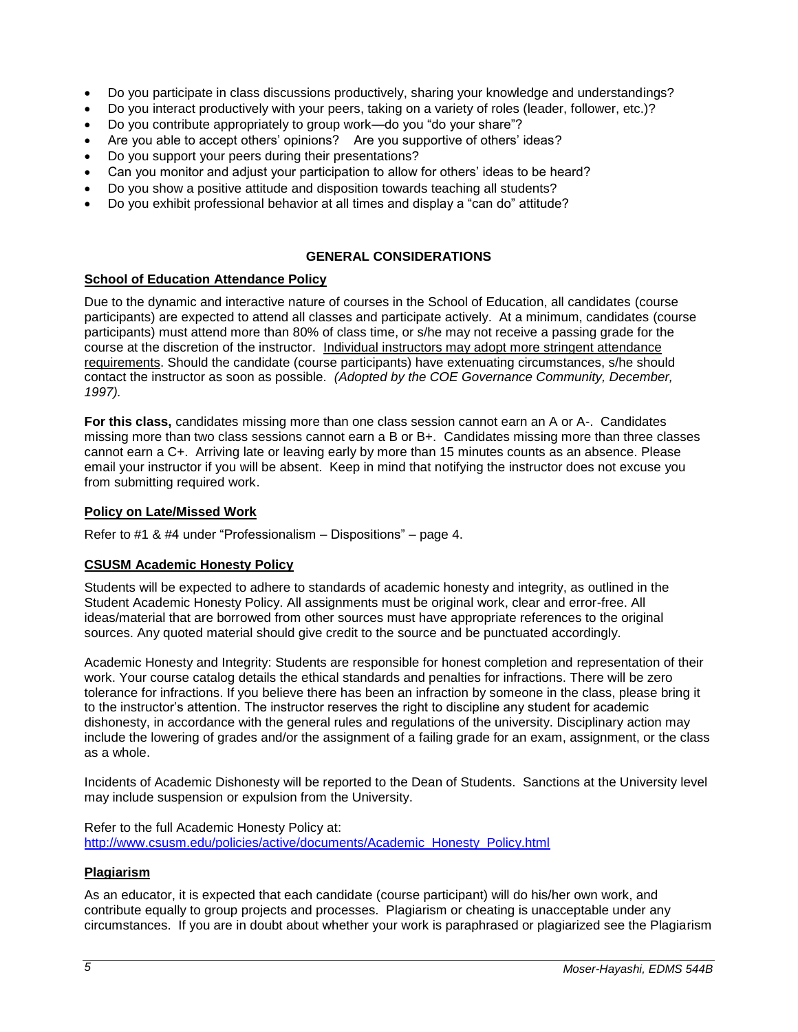- Do you participate in class discussions productively, sharing your knowledge and understandings?
- Do you interact productively with your peers, taking on a variety of roles (leader, follower, etc.)?
- Do you contribute appropriately to group work—do you "do your share"?
- Are you able to accept others' opinions? Are you supportive of others' ideas?
- Do you support your peers during their presentations?
- Can you monitor and adjust your participation to allow for others' ideas to be heard?
- Do you show a positive attitude and disposition towards teaching all students?
- Do you exhibit professional behavior at all times and display a "can do" attitude?

### **GENERAL CONSIDERATIONS**

#### **School of Education Attendance Policy**

Due to the dynamic and interactive nature of courses in the School of Education, all candidates (course participants) are expected to attend all classes and participate actively. At a minimum, candidates (course participants) must attend more than 80% of class time, or s/he may not receive a passing grade for the course at the discretion of the instructor. Individual instructors may adopt more stringent attendance requirements. Should the candidate (course participants) have extenuating circumstances, s/he should contact the instructor as soon as possible. *(Adopted by the COE Governance Community, December, 1997).*

**For this class,** candidates missing more than one class session cannot earn an A or A-. Candidates missing more than two class sessions cannot earn a B or B+. Candidates missing more than three classes cannot earn a C+. Arriving late or leaving early by more than 15 minutes counts as an absence. Please email your instructor if you will be absent. Keep in mind that notifying the instructor does not excuse you from submitting required work.

#### **Policy on Late/Missed Work**

Refer to #1 & #4 under "Professionalism – Dispositions" – page 4.

## **CSUSM Academic Honesty Policy**

Students will be expected to adhere to standards of academic honesty and integrity, as outlined in the Student Academic Honesty Policy. All assignments must be original work, clear and error-free. All ideas/material that are borrowed from other sources must have appropriate references to the original sources. Any quoted material should give credit to the source and be punctuated accordingly.

Academic Honesty and Integrity: Students are responsible for honest completion and representation of their work. Your course catalog details the ethical standards and penalties for infractions. There will be zero tolerance for infractions. If you believe there has been an infraction by someone in the class, please bring it to the instructor's attention. The instructor reserves the right to discipline any student for academic dishonesty, in accordance with the general rules and regulations of the university. Disciplinary action may include the lowering of grades and/or the assignment of a failing grade for an exam, assignment, or the class as a whole.

Incidents of Academic Dishonesty will be reported to the Dean of Students. Sanctions at the University level may include suspension or expulsion from the University.

Refer to the full Academic Honesty Policy at: [http://www.csusm.edu/policies/active/documents/Academic\\_Honesty\\_Policy.html](http://www.csusm.edu/policies/active/documents/Academic_Honesty_Policy.html)

#### **Plagiarism**

As an educator, it is expected that each candidate (course participant) will do his/her own work, and contribute equally to group projects and processes. Plagiarism or cheating is unacceptable under any circumstances. If you are in doubt about whether your work is paraphrased or plagiarized see the Plagiarism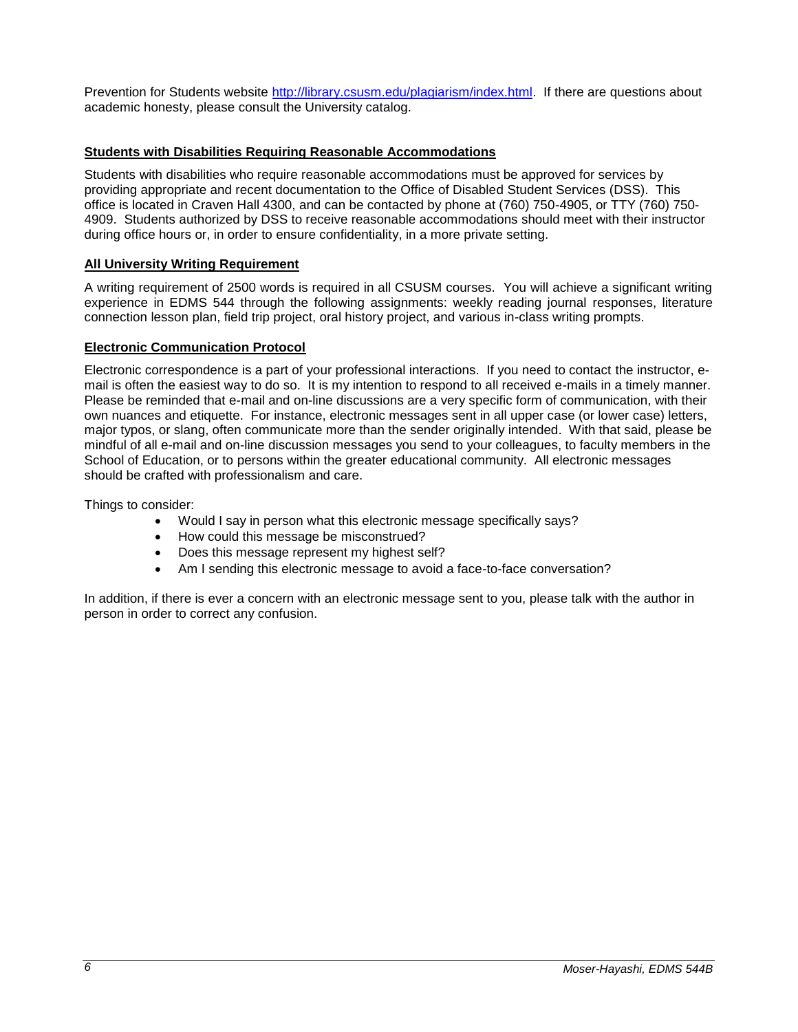Prevention for Students website [http://library.csusm.edu/plagiarism/index.html.](http://library.csusm.edu/plagiarism/index.html) If there are questions about academic honesty, please consult the University catalog.

## **Students with Disabilities Requiring Reasonable Accommodations**

Students with disabilities who require reasonable accommodations must be approved for services by providing appropriate and recent documentation to the Office of Disabled Student Services (DSS). This office is located in Craven Hall 4300, and can be contacted by phone at (760) 750-4905, or TTY (760) 750- 4909. Students authorized by DSS to receive reasonable accommodations should meet with their instructor during office hours or, in order to ensure confidentiality, in a more private setting.

## **All University Writing Requirement**

A writing requirement of 2500 words is required in all CSUSM courses. You will achieve a significant writing experience in EDMS 544 through the following assignments: weekly reading journal responses, literature connection lesson plan, field trip project, oral history project, and various in-class writing prompts.

## **Electronic Communication Protocol**

Electronic correspondence is a part of your professional interactions. If you need to contact the instructor, email is often the easiest way to do so. It is my intention to respond to all received e-mails in a timely manner. Please be reminded that e-mail and on-line discussions are a very specific form of communication, with their own nuances and etiquette. For instance, electronic messages sent in all upper case (or lower case) letters, major typos, or slang, often communicate more than the sender originally intended. With that said, please be mindful of all e-mail and on-line discussion messages you send to your colleagues, to faculty members in the School of Education, or to persons within the greater educational community. All electronic messages should be crafted with professionalism and care.

Things to consider:

- Would I say in person what this electronic message specifically says?
- How could this message be misconstrued?
- Does this message represent my highest self?
- Am I sending this electronic message to avoid a face-to-face conversation?

In addition, if there is ever a concern with an electronic message sent to you, please talk with the author in person in order to correct any confusion.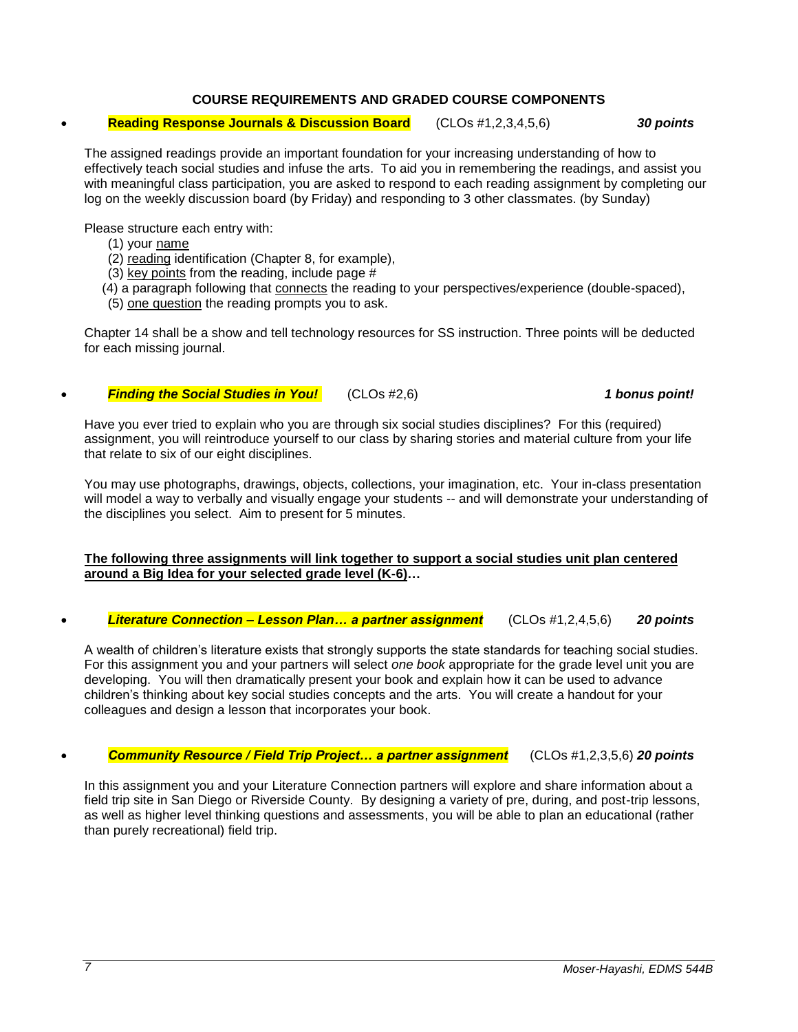## **COURSE REQUIREMENTS AND GRADED COURSE COMPONENTS**

**Reading Response Journals & Discussion Board** (CLOs #1,2,3,4,5,6) *30 points*

The assigned readings provide an important foundation for your increasing understanding of how to effectively teach social studies and infuse the arts. To aid you in remembering the readings, and assist you with meaningful class participation, you are asked to respond to each reading assignment by completing our log on the weekly discussion board (by Friday) and responding to 3 other classmates. (by Sunday)

Please structure each entry with:

- (1) your name
- (2) reading identification (Chapter 8, for example),
- (3) key points from the reading, include page #
- (4) a paragraph following that connects the reading to your perspectives/experience (double-spaced),
- (5) one question the reading prompts you to ask.

Chapter 14 shall be a show and tell technology resources for SS instruction. Three points will be deducted for each missing journal.

## *Finding the Social Studies in You!* (CLOs #2,6) *1 bonus point!*

Have you ever tried to explain who you are through six social studies disciplines? For this (required) assignment, you will reintroduce yourself to our class by sharing stories and material culture from your life that relate to six of our eight disciplines.

You may use photographs, drawings, objects, collections, your imagination, etc. Your in-class presentation will model a way to verbally and visually engage your students -- and will demonstrate your understanding of the disciplines you select. Aim to present for 5 minutes.

#### **The following three assignments will link together to support a social studies unit plan centered around a Big Idea for your selected grade level (K-6)…**

*Literature Connection – Lesson Plan… a partner assignment* (CLOs #1,2,4,5,6) *20 points*

A wealth of children's literature exists that strongly supports the state standards for teaching social studies. For this assignment you and your partners will select *one book* appropriate for the grade level unit you are developing. You will then dramatically present your book and explain how it can be used to advance children's thinking about key social studies concepts and the arts. You will create a handout for your colleagues and design a lesson that incorporates your book.

## *Community Resource / Field Trip Project… a partner assignment* (CLOs #1,2,3,5,6) *20 points*

In this assignment you and your Literature Connection partners will explore and share information about a field trip site in San Diego or Riverside County. By designing a variety of pre, during, and post-trip lessons, as well as higher level thinking questions and assessments, you will be able to plan an educational (rather than purely recreational) field trip.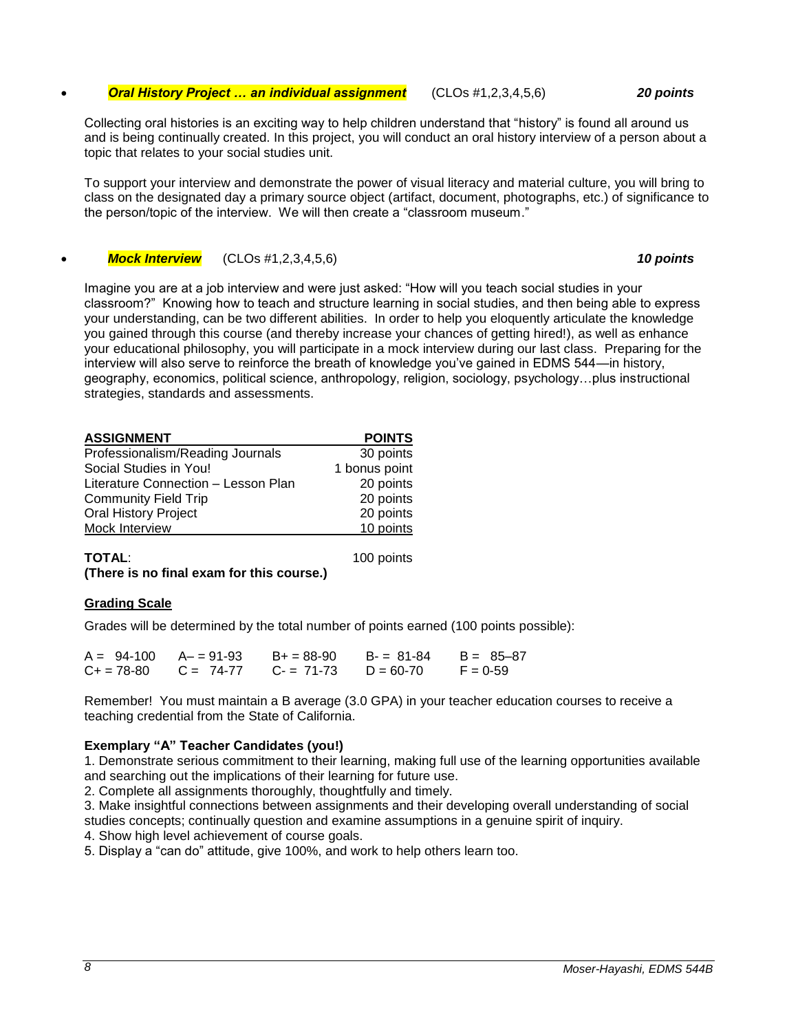#### *Oral History Project … an individual assignment* (CLOs #1,2,3,4,5,6) *20 points*

Collecting oral histories is an exciting way to help children understand that "history" is found all around us and is being continually created. In this project, you will conduct an oral history interview of a person about a topic that relates to your social studies unit.

To support your interview and demonstrate the power of visual literacy and material culture, you will bring to class on the designated day a primary source object (artifact, document, photographs, etc.) of significance to the person/topic of the interview. We will then create a "classroom museum."

*Mock Interview* (CLOs #1,2,3,4,5,6) *10 points*

Imagine you are at a job interview and were just asked: "How will you teach social studies in your classroom?" Knowing how to teach and structure learning in social studies, and then being able to express your understanding, can be two different abilities. In order to help you eloquently articulate the knowledge you gained through this course (and thereby increase your chances of getting hired!), as well as enhance your educational philosophy, you will participate in a mock interview during our last class. Preparing for the interview will also serve to reinforce the breath of knowledge you've gained in EDMS 544—in history, geography, economics, political science, anthropology, religion, sociology, psychology…plus instructional strategies, standards and assessments.

| <b>ASSIGNMENT</b>                   | <b>POINTS</b> |
|-------------------------------------|---------------|
| Professionalism/Reading Journals    | 30 points     |
| Social Studies in You!              | 1 bonus point |
| Literature Connection - Lesson Plan | 20 points     |
| <b>Community Field Trip</b>         | 20 points     |
| <b>Oral History Project</b>         | 20 points     |
| Mock Interview                      | 10 points     |
|                                     |               |

**TOTAL**: 100 points **(There is no final exam for this course.)**

## **Grading Scale**

Grades will be determined by the total number of points earned (100 points possible):

| $A = 94-100$ $A = 91-93$ |                           | $B+ = 88-90$ | B- = 81-84  | $B = 85 - 87$ |
|--------------------------|---------------------------|--------------|-------------|---------------|
|                          | $C_+ = 78-80$ $C = 74-77$ | $C = 71-73$  | $D = 60-70$ | $F = 0.59$    |

Remember! You must maintain a B average (3.0 GPA) in your teacher education courses to receive a teaching credential from the State of California.

## **Exemplary "A" Teacher Candidates (you!)**

1. Demonstrate serious commitment to their learning, making full use of the learning opportunities available and searching out the implications of their learning for future use.

2. Complete all assignments thoroughly, thoughtfully and timely.

3. Make insightful connections between assignments and their developing overall understanding of social studies concepts; continually question and examine assumptions in a genuine spirit of inquiry.

4. Show high level achievement of course goals.

5. Display a "can do" attitude, give 100%, and work to help others learn too.